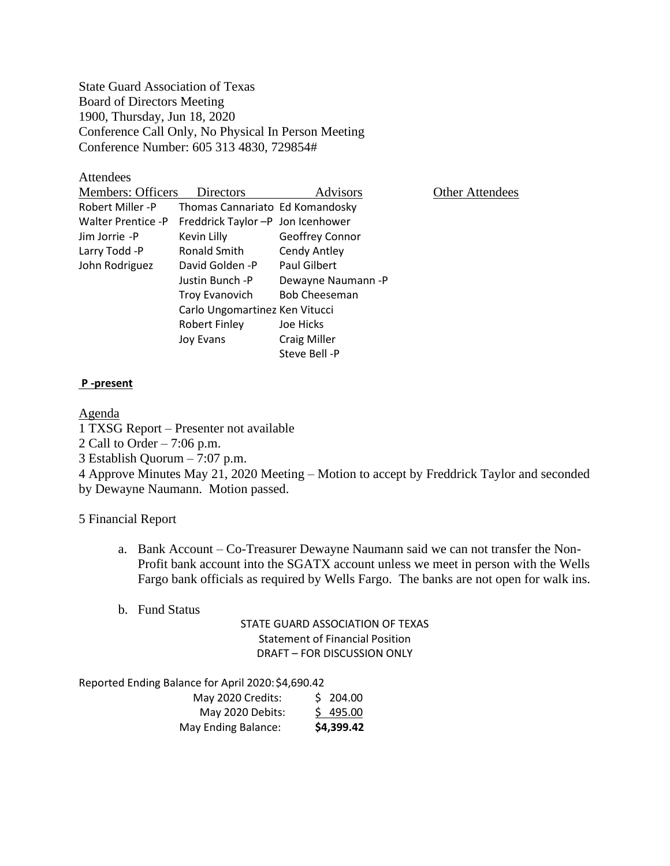State Guard Association of Texas Board of Directors Meeting 1900, Thursday, Jun 18, 2020 Conference Call Only, No Physical In Person Meeting Conference Number: 605 313 4830, 729854#

### **Attendees**

| <b>Members: Officers</b><br><b>Directors</b> | Advisors             | <b>Other Attendees</b>                                                |
|----------------------------------------------|----------------------|-----------------------------------------------------------------------|
|                                              |                      |                                                                       |
|                                              |                      |                                                                       |
| Kevin Lilly                                  | Geoffrey Connor      |                                                                       |
| Ronald Smith                                 | Cendy Antley         |                                                                       |
| David Golden -P                              | <b>Paul Gilbert</b>  |                                                                       |
| Justin Bunch -P                              | Dewayne Naumann -P   |                                                                       |
| <b>Troy Evanovich</b>                        | <b>Bob Cheeseman</b> |                                                                       |
| Carlo Ungomartinez Ken Vitucci               |                      |                                                                       |
| Robert Finley                                | Joe Hicks            |                                                                       |
| Joy Evans                                    | <b>Craig Miller</b>  |                                                                       |
|                                              | Steve Bell-P         |                                                                       |
|                                              |                      | Thomas Cannariato Ed Komandosky<br>Freddrick Taylor - P Jon Icenhower |

#### **P -present**

#### Agenda

1 TXSG Report – Presenter not available

2 Call to Order – 7:06 p.m.

3 Establish Quorum – 7:07 p.m.

4 Approve Minutes May 21, 2020 Meeting – Motion to accept by Freddrick Taylor and seconded by Dewayne Naumann. Motion passed.

### 5 Financial Report

- a. Bank Account Co-Treasurer Dewayne Naumann said we can not transfer the Non-Profit bank account into the SGATX account unless we meet in person with the Wells Fargo bank officials as required by Wells Fargo. The banks are not open for walk ins.
- b. Fund Status

STATE GUARD ASSOCIATION OF TEXAS Statement of Financial Position DRAFT – FOR DISCUSSION ONLY

Reported Ending Balance for April 2020:\$4,690.42

| May 2020 Credits:   | \$204.00   |
|---------------------|------------|
| May 2020 Debits:    | \$495.00   |
| May Ending Balance: | \$4,399.42 |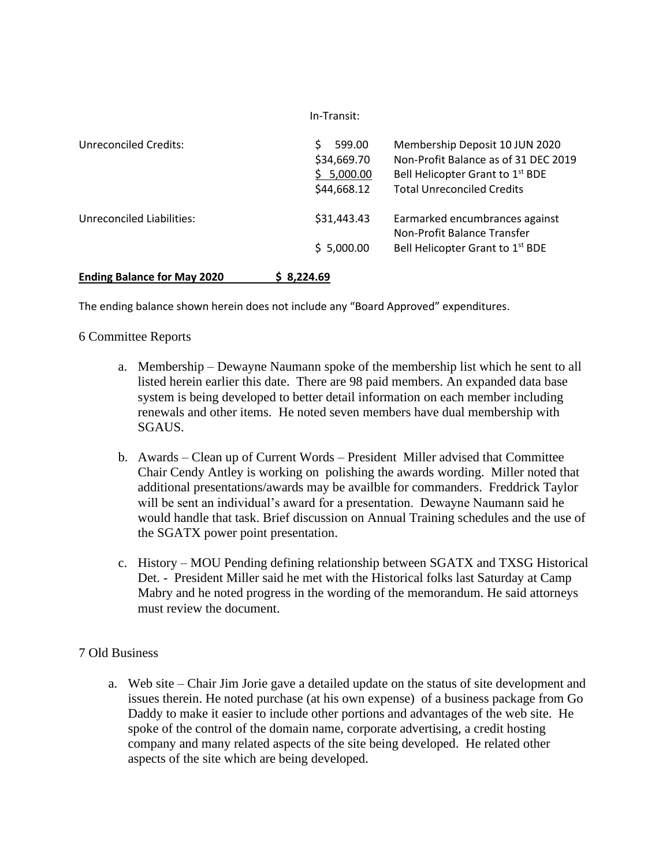|                              | 111-11 di ISIL.                                          |                                                                                                                                                             |
|------------------------------|----------------------------------------------------------|-------------------------------------------------------------------------------------------------------------------------------------------------------------|
| <b>Unreconciled Credits:</b> | 599.00<br>S.<br>\$34,669.70<br>\$5,000.00<br>\$44,668.12 | Membership Deposit 10 JUN 2020<br>Non-Profit Balance as of 31 DEC 2019<br>Bell Helicopter Grant to 1 <sup>st</sup> BDE<br><b>Total Unreconciled Credits</b> |
| Unreconciled Liabilities:    | \$31,443.43                                              | Earmarked encumbrances against<br>Non-Profit Balance Transfer                                                                                               |
|                              | \$5,000.00                                               | Bell Helicopter Grant to 1 <sup>st</sup> BDE                                                                                                                |

In-Transit:

## **Ending Balance for May 2020 \$ 8,224.69**

The ending balance shown herein does not include any "Board Approved" expenditures.

# 6 Committee Reports

- a. Membership Dewayne Naumann spoke of the membership list which he sent to all listed herein earlier this date. There are 98 paid members. An expanded data base system is being developed to better detail information on each member including renewals and other items. He noted seven members have dual membership with SGAUS.
- b. Awards Clean up of Current Words President Miller advised that Committee Chair Cendy Antley is working on polishing the awards wording. Miller noted that additional presentations/awards may be availble for commanders. Freddrick Taylor will be sent an individual's award for a presentation. Dewayne Naumann said he would handle that task. Brief discussion on Annual Training schedules and the use of the SGATX power point presentation.
- c. History MOU Pending defining relationship between SGATX and TXSG Historical Det. - President Miller said he met with the Historical folks last Saturday at Camp Mabry and he noted progress in the wording of the memorandum. He said attorneys must review the document.

# 7 Old Business

a. Web site – Chair Jim Jorie gave a detailed update on the status of site development and issues therein. He noted purchase (at his own expense) of a business package from Go Daddy to make it easier to include other portions and advantages of the web site. He spoke of the control of the domain name, corporate advertising, a credit hosting company and many related aspects of the site being developed. He related other aspects of the site which are being developed.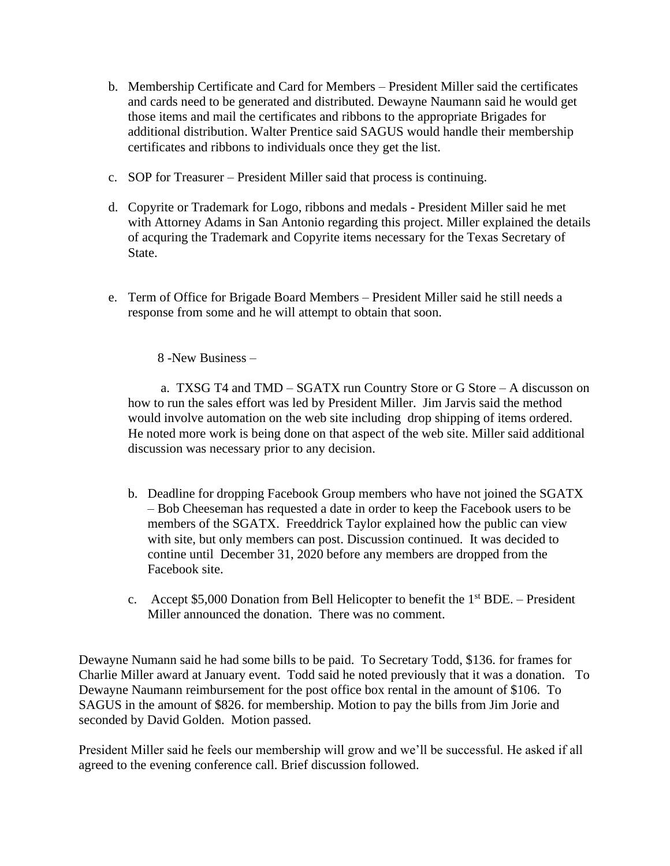- b. Membership Certificate and Card for Members President Miller said the certificates and cards need to be generated and distributed. Dewayne Naumann said he would get those items and mail the certificates and ribbons to the appropriate Brigades for additional distribution. Walter Prentice said SAGUS would handle their membership certificates and ribbons to individuals once they get the list.
- c. SOP for Treasurer President Miller said that process is continuing.
- d. Copyrite or Trademark for Logo, ribbons and medals President Miller said he met with Attorney Adams in San Antonio regarding this project. Miller explained the details of acquring the Trademark and Copyrite items necessary for the Texas Secretary of State.
- e. Term of Office for Brigade Board Members President Miller said he still needs a response from some and he will attempt to obtain that soon.

8 -New Business –

a. TXSG T4 and TMD – SGATX run Country Store or G Store – A discusson on how to run the sales effort was led by President Miller. Jim Jarvis said the method would involve automation on the web site including drop shipping of items ordered. He noted more work is being done on that aspect of the web site. Miller said additional discussion was necessary prior to any decision.

- b. Deadline for dropping Facebook Group members who have not joined the SGATX – Bob Cheeseman has requested a date in order to keep the Facebook users to be members of the SGATX. Freeddrick Taylor explained how the public can view with site, but only members can post. Discussion continued. It was decided to contine until December 31, 2020 before any members are dropped from the Facebook site.
- c. Accept \$5,000 Donation from Bell Helicopter to benefit the  $1<sup>st</sup> BDE.$  President Miller announced the donation. There was no comment.

Dewayne Numann said he had some bills to be paid. To Secretary Todd, \$136. for frames for Charlie Miller award at January event. Todd said he noted previously that it was a donation. To Dewayne Naumann reimbursement for the post office box rental in the amount of \$106. To SAGUS in the amount of \$826. for membership. Motion to pay the bills from Jim Jorie and seconded by David Golden. Motion passed.

President Miller said he feels our membership will grow and we'll be successful. He asked if all agreed to the evening conference call. Brief discussion followed.